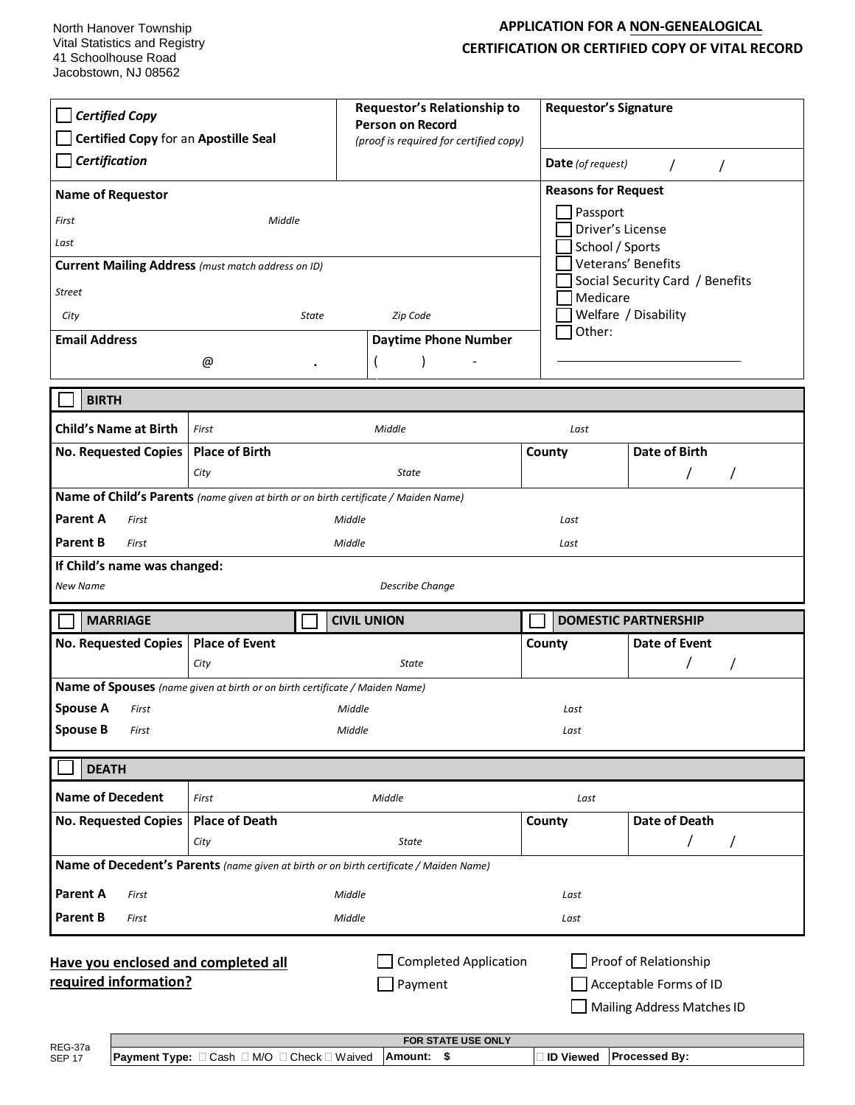North Hanover Township Vital Statistics and Registry 41 Schoolhouse Road Jacobstown, NJ 08562

## **APPLICATION FOR A NON-GENEALOGICAL CERTIFICATION OR CERTIFIED COPY OF VITAL RECORD**

| <b>Certified Copy</b><br>Certified Copy for an Apostille Seal<br>Certification<br><b>Name of Requestor</b><br>First<br>Middle<br>Last<br>Current Mailing Address (must match address on ID)<br><b>Street</b><br><b>State</b><br>City<br><b>Email Address</b> |                                                                                                 | <b>Requestor's Relationship to</b><br><b>Requestor's Signature</b><br><b>Person on Record</b><br>(proof is required for certified copy)<br>Date (of request)<br>$\prime$<br>$\prime$<br><b>Reasons for Request</b><br>Passport<br>Driver's License<br>School / Sports<br>Veterans' Benefits<br>Social Security Card / Benefits<br>Medicare<br>Welfare / Disability<br>Zip Code<br>Other:<br><b>Daytime Phone Number</b> |                 |                                |  |
|--------------------------------------------------------------------------------------------------------------------------------------------------------------------------------------------------------------------------------------------------------------|-------------------------------------------------------------------------------------------------|-------------------------------------------------------------------------------------------------------------------------------------------------------------------------------------------------------------------------------------------------------------------------------------------------------------------------------------------------------------------------------------------------------------------------|-----------------|--------------------------------|--|
|                                                                                                                                                                                                                                                              | @                                                                                               |                                                                                                                                                                                                                                                                                                                                                                                                                         |                 |                                |  |
| <b>BIRTH</b>                                                                                                                                                                                                                                                 |                                                                                                 |                                                                                                                                                                                                                                                                                                                                                                                                                         |                 |                                |  |
| <b>Child's Name at Birth</b><br><b>No. Requested Copies</b>                                                                                                                                                                                                  | First<br><b>Place of Birth</b><br>City                                                          | Middle<br>State                                                                                                                                                                                                                                                                                                                                                                                                         | Last<br>County  | <b>Date of Birth</b>           |  |
| Name of Child's Parents (name given at birth or on birth certificate / Maiden Name)<br><b>Parent A</b><br>First<br>Middle<br>Last<br><b>Parent B</b><br>First<br>Middle<br>Last<br>If Child's name was changed:<br>New Name<br><b>Describe Change</b>        |                                                                                                 |                                                                                                                                                                                                                                                                                                                                                                                                                         |                 |                                |  |
| <b>MARRIAGE</b>                                                                                                                                                                                                                                              |                                                                                                 | <b>CIVIL UNION</b>                                                                                                                                                                                                                                                                                                                                                                                                      |                 | <b>DOMESTIC PARTNERSHIP</b>    |  |
| No. Requested Copies                                                                                                                                                                                                                                         | <b>Place of Event</b><br>City                                                                   | <b>State</b>                                                                                                                                                                                                                                                                                                                                                                                                            | County          | Date of Event                  |  |
| <b>Spouse A</b><br>First<br><b>Spouse B</b><br>First                                                                                                                                                                                                         | Name of Spouses (name given at birth or on birth certificate / Maiden Name)<br>Middle<br>Middle |                                                                                                                                                                                                                                                                                                                                                                                                                         | Last<br>Last    |                                |  |
| <b>DEATH</b>                                                                                                                                                                                                                                                 |                                                                                                 |                                                                                                                                                                                                                                                                                                                                                                                                                         |                 |                                |  |
| <b>Name of Decedent</b><br><b>No. Requested Copies</b>                                                                                                                                                                                                       | First<br><b>Place of Death</b><br>City                                                          | Middle<br>State<br>Name of Decedent's Parents (name given at birth or on birth certificate / Maiden Name)                                                                                                                                                                                                                                                                                                               | Last<br>County  | Date of Death<br>T<br>$\prime$ |  |
| <b>Parent A</b><br>First                                                                                                                                                                                                                                     |                                                                                                 | Middle                                                                                                                                                                                                                                                                                                                                                                                                                  | Last            |                                |  |
| <b>Parent B</b><br>First                                                                                                                                                                                                                                     |                                                                                                 | Middle                                                                                                                                                                                                                                                                                                                                                                                                                  | Last            |                                |  |
| <b>Completed Application</b><br>Proof of Relationship<br>Have you enclosed and completed all<br>required information?<br>Payment<br>Acceptable Forms of ID<br>Mailing Address Matches ID<br>FOR STATE USE ONLY<br>REG-37a                                    |                                                                                                 |                                                                                                                                                                                                                                                                                                                                                                                                                         |                 |                                |  |
| <b>SEP 17</b>                                                                                                                                                                                                                                                | <b>Payment Type:</b> □ Cash □ M/O □ Check □ Waived                                              | Amount:<br>\$                                                                                                                                                                                                                                                                                                                                                                                                           | <b>O</b> Viewed | Processed By:                  |  |